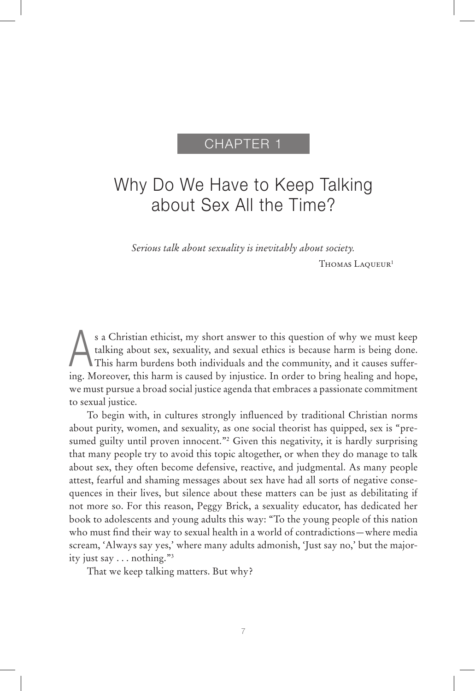# CHAPTER 1

# Why Do We Have to Keep Talking about Sex All the Time?

*Serious talk about sexuality is inevitably about society.*

THOMAS LAQUEUR<sup>1</sup>

s a Christian ethicist, my short answer to this question of why we must keep talking about sex, sexuality, and sexual ethics is because harm is being done.<br>This harm burdens both individuals and the community, and it cause talking about sex, sexuality, and sexual ethics is because harm is being done. This harm burdens both individuals and the community, and it causes suffering. Moreover, this harm is caused by injustice. In order to bring healing and hope, we must pursue a broad social justice agenda that embraces a passionate commitment to sexual justice.

To begin with, in cultures strongly influenced by traditional Christian norms about purity, women, and sexuality, as one social theorist has quipped, sex is "presumed guilty until proven innocent."2 Given this negativity, it is hardly surprising that many people try to avoid this topic altogether, or when they do manage to talk about sex, they often become defensive, reactive, and judgmental. As many people attest, fearful and shaming messages about sex have had all sorts of negative consequences in their lives, but silence about these matters can be just as debilitating if not more so. For this reason, Peggy Brick, a sexuality educator, has dedicated her book to adolescents and young adults this way: "To the young people of this nation who must find their way to sexual health in a world of contradictions—where media scream, 'Always say yes,' where many adults admonish, 'Just say no,' but the majority just say . . . nothing."3

That we keep talking matters. But why?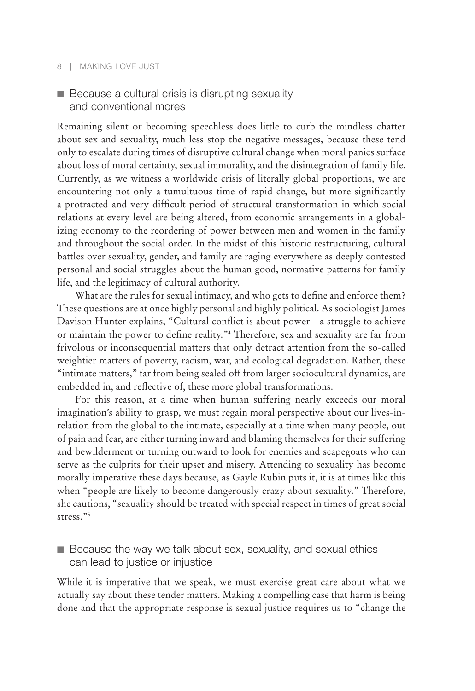#### 8 | MAKING LOVE JUST

■ Because a cultural crisis is disrupting sexuality and conventional mores

Remaining silent or becoming speechless does little to curb the mindless chatter about sex and sexuality, much less stop the negative messages, because these tend only to escalate during times of disruptive cultural change when moral panics surface about loss of moral certainty, sexual immorality, and the disintegration of family life. Currently, as we witness a worldwide crisis of literally global proportions, we are encountering not only a tumultuous time of rapid change, but more significantly a protracted and very difficult period of structural transformation in which social relations at every level are being altered, from economic arrangements in a globalizing economy to the reordering of power between men and women in the family and throughout the social order. In the midst of this historic restructuring, cultural battles over sexuality, gender, and family are raging everywhere as deeply contested personal and social struggles about the human good, normative patterns for family life, and the legitimacy of cultural authority.

What are the rules for sexual intimacy, and who gets to define and enforce them? These questions are at once highly personal and highly political. As sociologist James Davison Hunter explains, "Cultural conflict is about power—a struggle to achieve or maintain the power to define reality."4 Therefore, sex and sexuality are far from frivolous or inconsequential matters that only detract attention from the so-called weightier matters of poverty, racism, war, and ecological degradation. Rather, these "intimate matters," far from being sealed off from larger sociocultural dynamics, are embedded in, and reflective of, these more global transformations.

For this reason, at a time when human suffering nearly exceeds our moral imagination's ability to grasp, we must regain moral perspective about our lives-inrelation from the global to the intimate, especially at a time when many people, out of pain and fear, are either turning inward and blaming themselves for their suffering and bewilderment or turning outward to look for enemies and scapegoats who can serve as the culprits for their upset and misery. Attending to sexuality has become morally imperative these days because, as Gayle Rubin puts it, it is at times like this when "people are likely to become dangerously crazy about sexuality." Therefore, she cautions, "sexuality should be treated with special respect in times of great social stress."<sup>5</sup>

 $\blacksquare$  Because the way we talk about sex, sexuality, and sexual ethics can lead to justice or injustice

While it is imperative that we speak, we must exercise great care about what we actually say about these tender matters. Making a compelling case that harm is being done and that the appropriate response is sexual justice requires us to "change the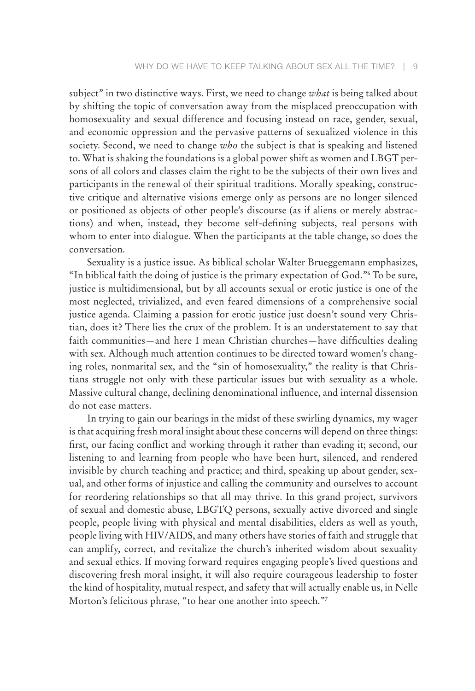subject" in two distinctive ways. First, we need to change *what* is being talked about by shifting the topic of conversation away from the misplaced preoccupation with homosexuality and sexual difference and focusing instead on race, gender, sexual, and economic oppression and the pervasive patterns of sexualized violence in this society. Second, we need to change *who* the subject is that is speaking and listened to. What is shaking the foundations is a global power shift as women and LBGT persons of all colors and classes claim the right to be the subjects of their own lives and participants in the renewal of their spiritual traditions. Morally speaking, constructive critique and alternative visions emerge only as persons are no longer silenced or positioned as objects of other people's discourse (as if aliens or merely abstractions) and when, instead, they become self-defining subjects, real persons with whom to enter into dialogue. When the participants at the table change, so does the conversation.

Sexuality is a justice issue. As biblical scholar Walter Brueggemann emphasizes, "In biblical faith the doing of justice is the primary expectation of God."6 To be sure, justice is multidimensional, but by all accounts sexual or erotic justice is one of the most neglected, trivialized, and even feared dimensions of a comprehensive social justice agenda. Claiming a passion for erotic justice just doesn't sound very Christian, does it? There lies the crux of the problem. It is an understatement to say that faith communities—and here I mean Christian churches—have difficulties dealing with sex. Although much attention continues to be directed toward women's changing roles, nonmarital sex, and the "sin of homosexuality," the reality is that Christians struggle not only with these particular issues but with sexuality as a whole. Massive cultural change, declining denominational influence, and internal dissension do not ease matters.

In trying to gain our bearings in the midst of these swirling dynamics, my wager is that acquiring fresh moral insight about these concerns will depend on three things: first, our facing conflict and working through it rather than evading it; second, our listening to and learning from people who have been hurt, silenced, and rendered invisible by church teaching and practice; and third, speaking up about gender, sexual, and other forms of injustice and calling the community and ourselves to account for reordering relationships so that all may thrive. In this grand project, survivors of sexual and domestic abuse, LBGTQ persons, sexually active divorced and single people, people living with physical and mental disabilities, elders as well as youth, people living with HIV/AIDS, and many others have stories of faith and struggle that can amplify, correct, and revitalize the church's inherited wisdom about sexuality and sexual ethics. If moving forward requires engaging people's lived questions and discovering fresh moral insight, it will also require courageous leadership to foster the kind of hospitality, mutual respect, and safety that will actually enable us, in Nelle Morton's felicitous phrase, "to hear one another into speech."7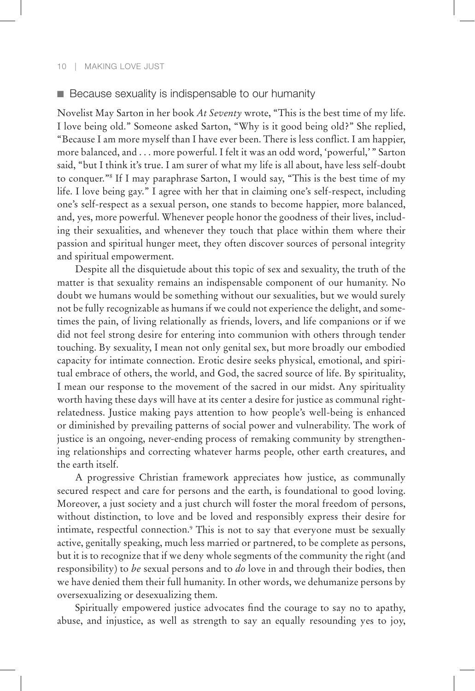#### ■ Because sexuality is indispensable to our humanity

Novelist May Sarton in her book *At Seventy* wrote, "This is the best time of my life. I love being old." Someone asked Sarton, "Why is it good being old?" She replied, "Because I am more myself than I have ever been. There is less conflict. I am happier, more balanced, and . . . more powerful. I felt it was an odd word, 'powerful,'" Sarton said, "but I think it's true. I am surer of what my life is all about, have less self-doubt to conquer."8 If I may paraphrase Sarton, I would say, "This is the best time of my life. I love being gay." I agree with her that in claiming one's self-respect, including one's self-respect as a sexual person, one stands to become happier, more balanced, and, yes, more powerful. Whenever people honor the goodness of their lives, including their sexualities, and whenever they touch that place within them where their passion and spiritual hunger meet, they often discover sources of personal integrity and spiritual empowerment.

Despite all the disquietude about this topic of sex and sexuality, the truth of the matter is that sexuality remains an indispensable component of our humanity. No doubt we humans would be something without our sexualities, but we would surely not be fully recognizable as humans if we could not experience the delight, and sometimes the pain, of living relationally as friends, lovers, and life companions or if we did not feel strong desire for entering into communion with others through tender touching. By sexuality, I mean not only genital sex, but more broadly our embodied capacity for intimate connection. Erotic desire seeks physical, emotional, and spiritual embrace of others, the world, and God, the sacred source of life. By spirituality, I mean our response to the movement of the sacred in our midst. Any spirituality worth having these days will have at its center a desire for justice as communal rightrelatedness. Justice making pays attention to how people's well-being is enhanced or diminished by prevailing patterns of social power and vulnerability. The work of justice is an ongoing, never-ending process of remaking community by strengthening relationships and correcting whatever harms people, other earth creatures, and the earth itself.

A progressive Christian framework appreciates how justice, as communally secured respect and care for persons and the earth, is foundational to good loving. Moreover, a just society and a just church will foster the moral freedom of persons, without distinction, to love and be loved and responsibly express their desire for intimate, respectful connection.9 This is not to say that everyone must be sexually active, genitally speaking, much less married or partnered, to be complete as persons, but it is to recognize that if we deny whole segments of the community the right (and responsibility) to *be* sexual persons and to *do* love in and through their bodies, then we have denied them their full humanity. In other words, we dehumanize persons by oversexualizing or desexualizing them.

Spiritually empowered justice advocates find the courage to say no to apathy, abuse, and injustice, as well as strength to say an equally resounding yes to joy,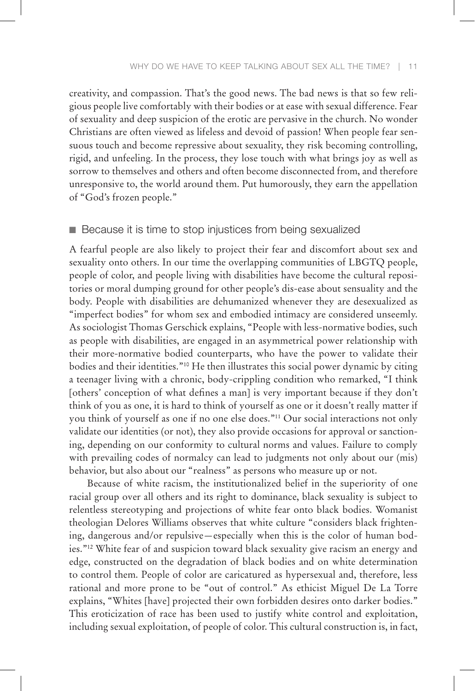creativity, and compassion. That's the good news. The bad news is that so few religious people live comfortably with their bodies or at ease with sexual difference. Fear of sexuality and deep suspicion of the erotic are pervasive in the church. No wonder Christians are often viewed as lifeless and devoid of passion! When people fear sensuous touch and become repressive about sexuality, they risk becoming controlling, rigid, and unfeeling. In the process, they lose touch with what brings joy as well as sorrow to themselves and others and often become disconnected from, and therefore unresponsive to, the world around them. Put humorously, they earn the appellation of "God's frozen people."

#### ■ Because it is time to stop injustices from being sexualized

A fearful people are also likely to project their fear and discomfort about sex and sexuality onto others. In our time the overlapping communities of LBGTQ people, people of color, and people living with disabilities have become the cultural repositories or moral dumping ground for other people's dis-ease about sensuality and the body. People with disabilities are dehumanized whenever they are desexualized as "imperfect bodies" for whom sex and embodied intimacy are considered unseemly. As sociologist Thomas Gerschick explains, "People with less-normative bodies, such as people with disabilities, are engaged in an asymmetrical power relationship with their more-normative bodied counterparts, who have the power to validate their bodies and their identities."10 He then illustrates this social power dynamic by citing a teenager living with a chronic, body-crippling condition who remarked, "I think [others' conception of what defines a man] is very important because if they don't think of you as one, it is hard to think of yourself as one or it doesn't really matter if you think of yourself as one if no one else does."11 Our social interactions not only validate our identities (or not), they also provide occasions for approval or sanctioning, depending on our conformity to cultural norms and values. Failure to comply with prevailing codes of normalcy can lead to judgments not only about our (mis) behavior, but also about our "realness" as persons who measure up or not.

Because of white racism, the institutionalized belief in the superiority of one racial group over all others and its right to dominance, black sexuality is subject to relentless stereotyping and projections of white fear onto black bodies. Womanist theologian Delores Williams observes that white culture "considers black frightening, dangerous and/or repulsive—especially when this is the color of human bodies."12 White fear of and suspicion toward black sexuality give racism an energy and edge, constructed on the degradation of black bodies and on white determination to control them. People of color are caricatured as hypersexual and, therefore, less rational and more prone to be "out of control." As ethicist Miguel De La Torre explains, "Whites [have] projected their own forbidden desires onto darker bodies." This eroticization of race has been used to justify white control and exploitation, including sexual exploitation, of people of color. This cultural construction is, in fact,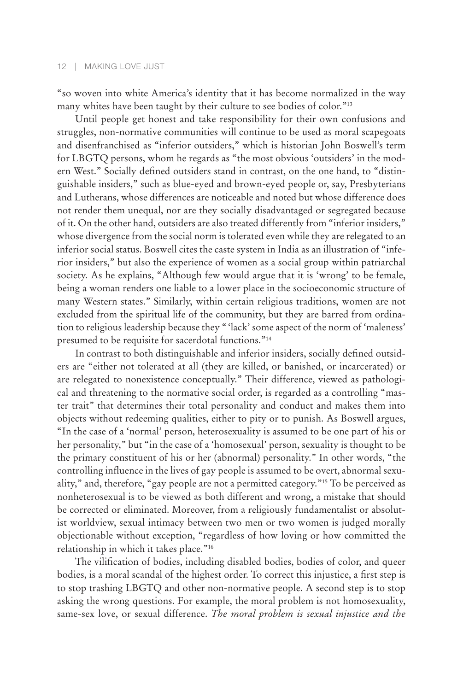"so woven into white America's identity that it has become normalized in the way many whites have been taught by their culture to see bodies of color."13

Until people get honest and take responsibility for their own confusions and struggles, non-normative communities will continue to be used as moral scapegoats and disenfranchised as "inferior outsiders," which is historian John Boswell's term for LBGTQ persons, whom he regards as "the most obvious 'outsiders' in the modern West." Socially defined outsiders stand in contrast, on the one hand, to "distinguishable insiders," such as blue-eyed and brown-eyed people or, say, Presbyterians and Lutherans, whose differences are noticeable and noted but whose difference does not render them unequal, nor are they socially disadvantaged or segregated because of it. On the other hand, outsiders are also treated differently from "inferior insiders," whose divergence from the social norm is tolerated even while they are relegated to an inferior social status. Boswell cites the caste system in India as an illustration of "inferior insiders," but also the experience of women as a social group within patriarchal society. As he explains, "Although few would argue that it is 'wrong' to be female, being a woman renders one liable to a lower place in the socioeconomic structure of many Western states." Similarly, within certain religious traditions, women are not excluded from the spiritual life of the community, but they are barred from ordination to religious leadership because they "'lack' some aspect of the norm of 'maleness' presumed to be requisite for sacerdotal functions."14

In contrast to both distinguishable and inferior insiders, socially defined outsiders are "either not tolerated at all (they are killed, or banished, or incarcerated) or are relegated to nonexistence conceptually." Their difference, viewed as pathological and threatening to the normative social order, is regarded as a controlling "master trait" that determines their total personality and conduct and makes them into objects without redeeming qualities, either to pity or to punish. As Boswell argues, "In the case of a 'normal' person, heterosexuality is assumed to be one part of his or her personality," but "in the case of a 'homosexual' person, sexuality is thought to be the primary constituent of his or her (abnormal) personality." In other words, "the controlling influence in the lives of gay people is assumed to be overt, abnormal sexuality," and, therefore, "gay people are not a permitted category."15 To be perceived as nonheterosexual is to be viewed as both different and wrong, a mistake that should be corrected or eliminated. Moreover, from a religiously fundamentalist or absolutist worldview, sexual intimacy between two men or two women is judged morally objectionable without exception, "regardless of how loving or how committed the relationship in which it takes place."16

The vilification of bodies, including disabled bodies, bodies of color, and queer bodies, is a moral scandal of the highest order. To correct this injustice, a first step is to stop trashing LBGTQ and other non-normative people. A second step is to stop asking the wrong questions. For example, the moral problem is not homosexuality, same-sex love, or sexual difference. *The moral problem is sexual injustice and the*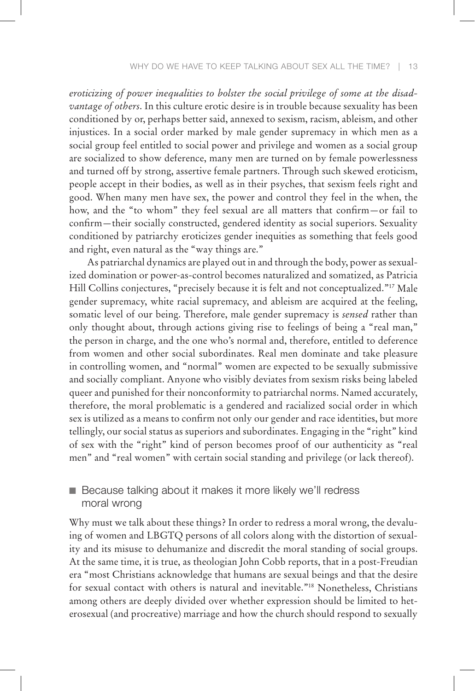*eroticizing of power inequalities to bolster the social privilege of some at the disadvantage of others*. In this culture erotic desire is in trouble because sexuality has been conditioned by or, perhaps better said, annexed to sexism, racism, ableism, and other injustices. In a social order marked by male gender supremacy in which men as a social group feel entitled to social power and privilege and women as a social group are socialized to show deference, many men are turned on by female powerlessness and turned off by strong, assertive female partners. Through such skewed eroticism, people accept in their bodies, as well as in their psyches, that sexism feels right and good. When many men have sex, the power and control they feel in the when, the how, and the "to whom" they feel sexual are all matters that confirm—or fail to confirm—their socially constructed, gendered identity as social superiors. Sexuality conditioned by patriarchy eroticizes gender inequities as something that feels good and right, even natural as the "way things are."

As patriarchal dynamics are played out in and through the body, power as sexualized domination or power-as-control becomes naturalized and somatized, as Patricia Hill Collins conjectures, "precisely because it is felt and not conceptualized."<sup>17</sup> Male gender supremacy, white racial supremacy, and ableism are acquired at the feeling, somatic level of our being. Therefore, male gender supremacy is *sensed* rather than only thought about, through actions giving rise to feelings of being a "real man," the person in charge, and the one who's normal and, therefore, entitled to deference from women and other social subordinates. Real men dominate and take pleasure in controlling women, and "normal" women are expected to be sexually submissive and socially compliant. Anyone who visibly deviates from sexism risks being labeled queer and punished for their nonconformity to patriarchal norms. Named accurately, therefore, the moral problematic is a gendered and racialized social order in which sex is utilized as a means to confirm not only our gender and race identities, but more tellingly, our social status as superiors and subordinates. Engaging in the "right" kind of sex with the "right" kind of person becomes proof of our authenticity as "real men" and "real women" with certain social standing and privilege (or lack thereof).

## $\blacksquare$  Because talking about it makes it more likely we'll redress moral wrong

Why must we talk about these things? In order to redress a moral wrong, the devaluing of women and LBGTQ persons of all colors along with the distortion of sexuality and its misuse to dehumanize and discredit the moral standing of social groups. At the same time, it is true, as theologian John Cobb reports, that in a post-Freudian era "most Christians acknowledge that humans are sexual beings and that the desire for sexual contact with others is natural and inevitable."18 Nonetheless, Christians among others are deeply divided over whether expression should be limited to heterosexual (and procreative) marriage and how the church should respond to sexually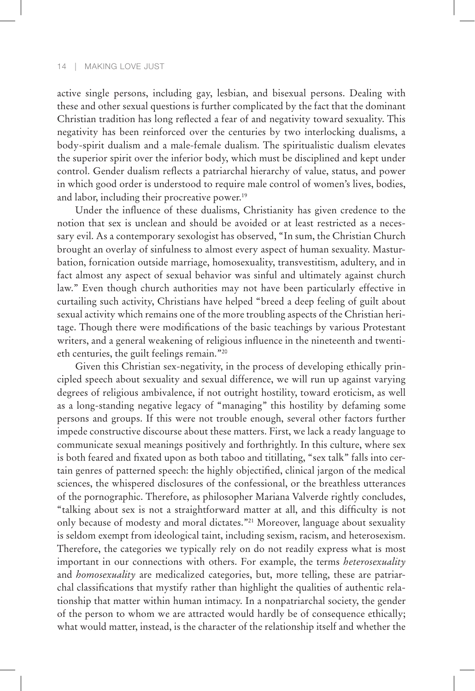active single persons, including gay, lesbian, and bisexual persons. Dealing with these and other sexual questions is further complicated by the fact that the dominant Christian tradition has long reflected a fear of and negativity toward sexuality. This negativity has been reinforced over the centuries by two interlocking dualisms, a body-spirit dualism and a male-female dualism. The spiritualistic dualism elevates the superior spirit over the inferior body, which must be disciplined and kept under control. Gender dualism reflects a patriarchal hierarchy of value, status, and power in which good order is understood to require male control of women's lives, bodies, and labor, including their procreative power.<sup>19</sup>

Under the influence of these dualisms, Christianity has given credence to the notion that sex is unclean and should be avoided or at least restricted as a necessary evil. As a contemporary sexologist has observed, "In sum, the Christian Church brought an overlay of sinfulness to almost every aspect of human sexuality. Masturbation, fornication outside marriage, homosexuality, transvestitism, adultery, and in fact almost any aspect of sexual behavior was sinful and ultimately against church law." Even though church authorities may not have been particularly effective in curtailing such activity, Christians have helped "breed a deep feeling of guilt about sexual activity which remains one of the more troubling aspects of the Christian heritage. Though there were modifications of the basic teachings by various Protestant writers, and a general weakening of religious influence in the nineteenth and twentieth centuries, the guilt feelings remain."20

Given this Christian sex-negativity, in the process of developing ethically principled speech about sexuality and sexual difference, we will run up against varying degrees of religious ambivalence, if not outright hostility, toward eroticism, as well as a long-standing negative legacy of "managing" this hostility by defaming some persons and groups. If this were not trouble enough, several other factors further impede constructive discourse about these matters. First, we lack a ready language to communicate sexual meanings positively and forthrightly. In this culture, where sex is both feared and fixated upon as both taboo and titillating, "sex talk" falls into certain genres of patterned speech: the highly objectified, clinical jargon of the medical sciences, the whispered disclosures of the confessional, or the breathless utterances of the pornographic. Therefore, as philosopher Mariana Valverde rightly concludes, "talking about sex is not a straightforward matter at all, and this difficulty is not only because of modesty and moral dictates."21 Moreover, language about sexuality is seldom exempt from ideological taint, including sexism, racism, and heterosexism. Therefore, the categories we typically rely on do not readily express what is most important in our connections with others. For example, the terms *heterosexuality* and *homosexuality* are medicalized categories, but, more telling, these are patriarchal classifications that mystify rather than highlight the qualities of authentic relationship that matter within human intimacy. In a nonpatriarchal society, the gender of the person to whom we are attracted would hardly be of consequence ethically; what would matter, instead, is the character of the relationship itself and whether the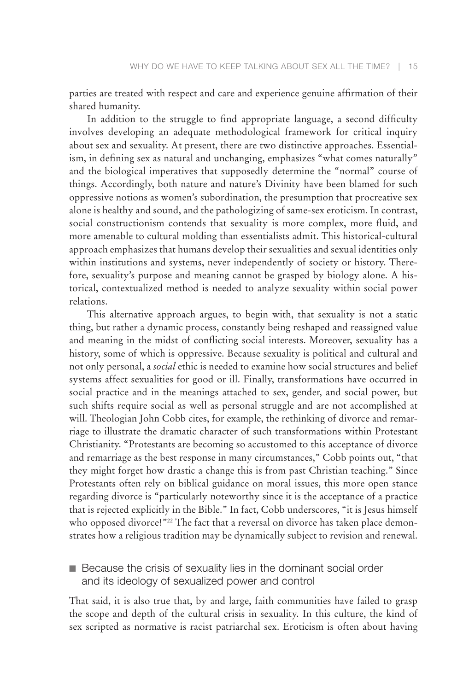parties are treated with respect and care and experience genuine affirmation of their shared humanity.

In addition to the struggle to find appropriate language, a second difficulty involves developing an adequate methodological framework for critical inquiry about sex and sexuality. At present, there are two distinctive approaches. Essentialism, in defining sex as natural and unchanging, emphasizes "what comes naturally" and the biological imperatives that supposedly determine the "normal" course of things. Accordingly, both nature and nature's Divinity have been blamed for such oppressive notions as women's subordination, the presumption that procreative sex alone is healthy and sound, and the pathologizing of same-sex eroticism. In contrast, social constructionism contends that sexuality is more complex, more fluid, and more amenable to cultural molding than essentialists admit. This historical-cultural approach emphasizes that humans develop their sexualities and sexual identities only within institutions and systems, never independently of society or history. Therefore, sexuality's purpose and meaning cannot be grasped by biology alone. A historical, contextualized method is needed to analyze sexuality within social power relations.

This alternative approach argues, to begin with, that sexuality is not a static thing, but rather a dynamic process, constantly being reshaped and reassigned value and meaning in the midst of conflicting social interests. Moreover, sexuality has a history, some of which is oppressive. Because sexuality is political and cultural and not only personal, a *social* ethic is needed to examine how social structures and belief systems affect sexualities for good or ill. Finally, transformations have occurred in social practice and in the meanings attached to sex, gender, and social power, but such shifts require social as well as personal struggle and are not accomplished at will. Theologian John Cobb cites, for example, the rethinking of divorce and remarriage to illustrate the dramatic character of such transformations within Protestant Christianity. "Protestants are becoming so accustomed to this acceptance of divorce and remarriage as the best response in many circumstances," Cobb points out, "that they might forget how drastic a change this is from past Christian teaching." Since Protestants often rely on biblical guidance on moral issues, this more open stance regarding divorce is "particularly noteworthy since it is the acceptance of a practice that is rejected explicitly in the Bible." In fact, Cobb underscores, "it is Jesus himself who opposed divorce!"<sup>22</sup> The fact that a reversal on divorce has taken place demonstrates how a religious tradition may be dynamically subject to revision and renewal.

 $\blacksquare$  Because the crisis of sexuality lies in the dominant social order and its ideology of sexualized power and control

That said, it is also true that, by and large, faith communities have failed to grasp the scope and depth of the cultural crisis in sexuality. In this culture, the kind of sex scripted as normative is racist patriarchal sex. Eroticism is often about having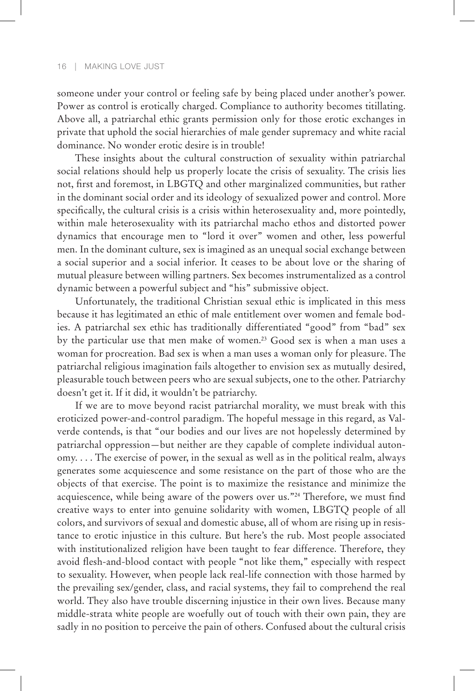someone under your control or feeling safe by being placed under another's power. Power as control is erotically charged. Compliance to authority becomes titillating. Above all, a patriarchal ethic grants permission only for those erotic exchanges in private that uphold the social hierarchies of male gender supremacy and white racial dominance. No wonder erotic desire is in trouble!

These insights about the cultural construction of sexuality within patriarchal social relations should help us properly locate the crisis of sexuality. The crisis lies not, first and foremost, in LBGTQ and other marginalized communities, but rather in the dominant social order and its ideology of sexualized power and control. More specifically, the cultural crisis is a crisis within heterosexuality and, more pointedly, within male heterosexuality with its patriarchal macho ethos and distorted power dynamics that encourage men to "lord it over" women and other, less powerful men. In the dominant culture, sex is imagined as an unequal social exchange between a social superior and a social inferior. It ceases to be about love or the sharing of mutual pleasure between willing partners. Sex becomes instrumentalized as a control dynamic between a powerful subject and "his" submissive object.

Unfortunately, the traditional Christian sexual ethic is implicated in this mess because it has legitimated an ethic of male entitlement over women and female bodies. A patriarchal sex ethic has traditionally differentiated "good" from "bad" sex by the particular use that men make of women.<sup>23</sup> Good sex is when a man uses a woman for procreation. Bad sex is when a man uses a woman only for pleasure. The patriarchal religious imagination fails altogether to envision sex as mutually desired, pleasurable touch between peers who are sexual subjects, one to the other. Patriarchy doesn't get it. If it did, it wouldn't be patriarchy.

If we are to move beyond racist patriarchal morality, we must break with this eroticized power-and-control paradigm. The hopeful message in this regard, as Valverde contends, is that "our bodies and our lives are not hopelessly determined by patriarchal oppression—but neither are they capable of complete individual autonomy. . . . The exercise of power, in the sexual as well as in the political realm, always generates some acquiescence and some resistance on the part of those who are the objects of that exercise. The point is to maximize the resistance and minimize the acquiescence, while being aware of the powers over us."24 Therefore, we must find creative ways to enter into genuine solidarity with women, LBGTQ people of all colors, and survivors of sexual and domestic abuse, all of whom are rising up in resistance to erotic injustice in this culture. But here's the rub. Most people associated with institutionalized religion have been taught to fear difference. Therefore, they avoid flesh-and-blood contact with people "not like them," especially with respect to sexuality. However, when people lack real-life connection with those harmed by the prevailing sex/gender, class, and racial systems, they fail to comprehend the real world. They also have trouble discerning injustice in their own lives. Because many middle-strata white people are woefully out of touch with their own pain, they are sadly in no position to perceive the pain of others. Confused about the cultural crisis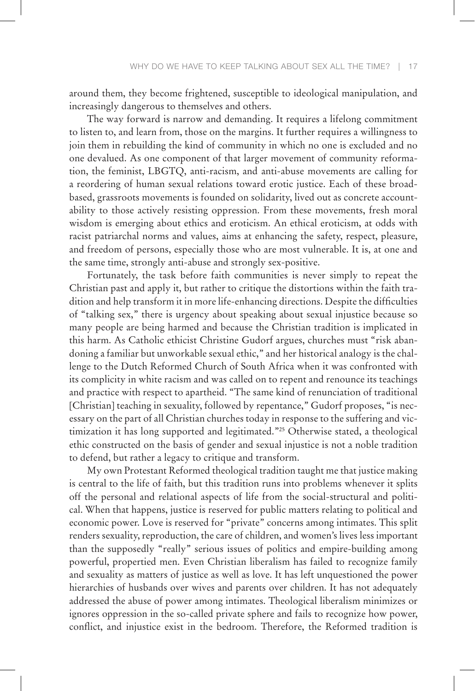around them, they become frightened, susceptible to ideological manipulation, and increasingly dangerous to themselves and others.

The way forward is narrow and demanding. It requires a lifelong commitment to listen to, and learn from, those on the margins. It further requires a willingness to join them in rebuilding the kind of community in which no one is excluded and no one devalued. As one component of that larger movement of community reformation, the feminist, LBGTQ, anti-racism, and anti-abuse movements are calling for a reordering of human sexual relations toward erotic justice. Each of these broadbased, grassroots movements is founded on solidarity, lived out as concrete accountability to those actively resisting oppression. From these movements, fresh moral wisdom is emerging about ethics and eroticism. An ethical eroticism, at odds with racist patriarchal norms and values, aims at enhancing the safety, respect, pleasure, and freedom of persons, especially those who are most vulnerable. It is, at one and the same time, strongly anti-abuse and strongly sex-positive.

Fortunately, the task before faith communities is never simply to repeat the Christian past and apply it, but rather to critique the distortions within the faith tradition and help transform it in more life-enhancing directions. Despite the difficulties of "talking sex," there is urgency about speaking about sexual injustice because so many people are being harmed and because the Christian tradition is implicated in this harm. As Catholic ethicist Christine Gudorf argues, churches must "risk abandoning a familiar but unworkable sexual ethic," and her historical analogy is the challenge to the Dutch Reformed Church of South Africa when it was confronted with its complicity in white racism and was called on to repent and renounce its teachings and practice with respect to apartheid. "The same kind of renunciation of traditional [Christian] teaching in sexuality, followed by repentance," Gudorf proposes, "is necessary on the part of all Christian churches today in response to the suffering and victimization it has long supported and legitimated."<sup>25</sup> Otherwise stated, a theological ethic constructed on the basis of gender and sexual injustice is not a noble tradition to defend, but rather a legacy to critique and transform.

My own Protestant Reformed theological tradition taught me that justice making is central to the life of faith, but this tradition runs into problems whenever it splits off the personal and relational aspects of life from the social-structural and political. When that happens, justice is reserved for public matters relating to political and economic power. Love is reserved for "private" concerns among intimates. This split renders sexuality, reproduction, the care of children, and women's lives less important than the supposedly "really" serious issues of politics and empire-building among powerful, propertied men. Even Christian liberalism has failed to recognize family and sexuality as matters of justice as well as love. It has left unquestioned the power hierarchies of husbands over wives and parents over children. It has not adequately addressed the abuse of power among intimates. Theological liberalism minimizes or ignores oppression in the so-called private sphere and fails to recognize how power, conflict, and injustice exist in the bedroom. Therefore, the Reformed tradition is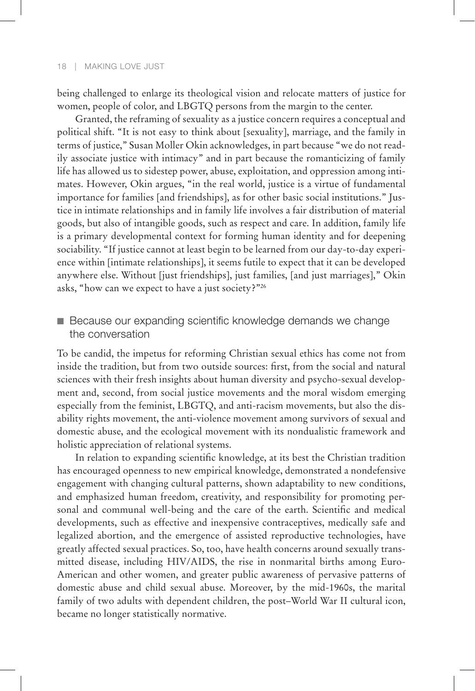being challenged to enlarge its theological vision and relocate matters of justice for women, people of color, and LBGTQ persons from the margin to the center.

Granted, the reframing of sexuality as a justice concern requires a conceptual and political shift. "It is not easy to think about [sexuality], marriage, and the family in terms of justice," Susan Moller Okin acknowledges, in part because "we do not readily associate justice with intimacy" and in part because the romanticizing of family life has allowed us to sidestep power, abuse, exploitation, and oppression among intimates. However, Okin argues, "in the real world, justice is a virtue of fundamental importance for families [and friendships], as for other basic social institutions." Justice in intimate relationships and in family life involves a fair distribution of material goods, but also of intangible goods, such as respect and care. In addition, family life is a primary developmental context for forming human identity and for deepening sociability. "If justice cannot at least begin to be learned from our day-to-day experience within [intimate relationships], it seems futile to expect that it can be developed anywhere else. Without [just friendships], just families, [and just marriages]," Okin asks, "how can we expect to have a just society?"26

■ Because our expanding scientific knowledge demands we change the conversation

To be candid, the impetus for reforming Christian sexual ethics has come not from inside the tradition, but from two outside sources: first, from the social and natural sciences with their fresh insights about human diversity and psycho-sexual development and, second, from social justice movements and the moral wisdom emerging especially from the feminist, LBGTQ, and anti-racism movements, but also the disability rights movement, the anti-violence movement among survivors of sexual and domestic abuse, and the ecological movement with its nondualistic framework and holistic appreciation of relational systems.

In relation to expanding scientific knowledge, at its best the Christian tradition has encouraged openness to new empirical knowledge, demonstrated a nondefensive engagement with changing cultural patterns, shown adaptability to new conditions, and emphasized human freedom, creativity, and responsibility for promoting personal and communal well-being and the care of the earth. Scientific and medical developments, such as effective and inexpensive contraceptives, medically safe and legalized abortion, and the emergence of assisted reproductive technologies, have greatly affected sexual practices. So, too, have health concerns around sexually transmitted disease, including HIV/AIDS, the rise in nonmarital births among Euro-American and other women, and greater public awareness of pervasive patterns of domestic abuse and child sexual abuse. Moreover, by the mid-1960s, the marital family of two adults with dependent children, the post–World War II cultural icon, became no longer statistically normative.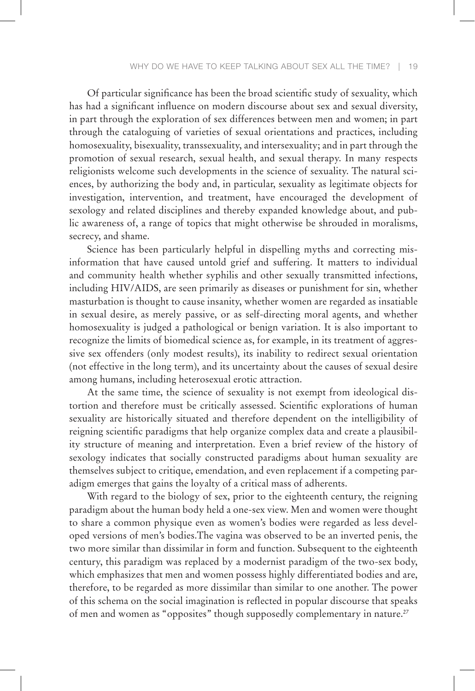Of particular significance has been the broad scientific study of sexuality, which has had a significant influence on modern discourse about sex and sexual diversity, in part through the exploration of sex differences between men and women; in part through the cataloguing of varieties of sexual orientations and practices, including homosexuality, bisexuality, transsexuality, and intersexuality; and in part through the promotion of sexual research, sexual health, and sexual therapy. In many respects religionists welcome such developments in the science of sexuality. The natural sciences, by authorizing the body and, in particular, sexuality as legitimate objects for investigation, intervention, and treatment, have encouraged the development of sexology and related disciplines and thereby expanded knowledge about, and public awareness of, a range of topics that might otherwise be shrouded in moralisms, secrecy, and shame.

Science has been particularly helpful in dispelling myths and correcting misinformation that have caused untold grief and suffering. It matters to individual and community health whether syphilis and other sexually transmitted infections, including HIV/AIDS, are seen primarily as diseases or punishment for sin, whether masturbation is thought to cause insanity, whether women are regarded as insatiable in sexual desire, as merely passive, or as self-directing moral agents, and whether homosexuality is judged a pathological or benign variation. It is also important to recognize the limits of biomedical science as, for example, in its treatment of aggressive sex offenders (only modest results), its inability to redirect sexual orientation (not effective in the long term), and its uncertainty about the causes of sexual desire among humans, including heterosexual erotic attraction.

At the same time, the science of sexuality is not exempt from ideological distortion and therefore must be critically assessed. Scientific explorations of human sexuality are historically situated and therefore dependent on the intelligibility of reigning scientific paradigms that help organize complex data and create a plausibility structure of meaning and interpretation. Even a brief review of the history of sexology indicates that socially constructed paradigms about human sexuality are themselves subject to critique, emendation, and even replacement if a competing paradigm emerges that gains the loyalty of a critical mass of adherents.

With regard to the biology of sex, prior to the eighteenth century, the reigning paradigm about the human body held a one-sex view. Men and women were thought to share a common physique even as women's bodies were regarded as less developed versions of men's bodies.The vagina was observed to be an inverted penis, the two more similar than dissimilar in form and function. Subsequent to the eighteenth century, this paradigm was replaced by a modernist paradigm of the two-sex body, which emphasizes that men and women possess highly differentiated bodies and are, therefore, to be regarded as more dissimilar than similar to one another. The power of this schema on the social imagination is reflected in popular discourse that speaks of men and women as "opposites" though supposedly complementary in nature.<sup>27</sup>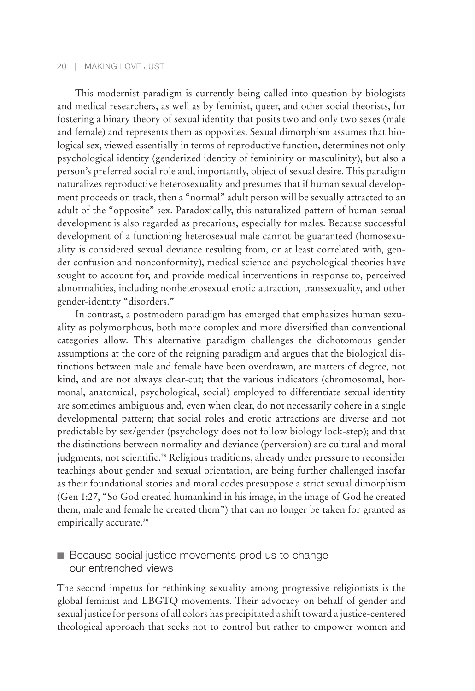#### 20 | making love just

This modernist paradigm is currently being called into question by biologists and medical researchers, as well as by feminist, queer, and other social theorists, for fostering a binary theory of sexual identity that posits two and only two sexes (male and female) and represents them as opposites. Sexual dimorphism assumes that biological sex, viewed essentially in terms of reproductive function, determines not only psychological identity (genderized identity of femininity or masculinity), but also a person's preferred social role and, importantly, object of sexual desire. This paradigm naturalizes reproductive heterosexuality and presumes that if human sexual development proceeds on track, then a "normal" adult person will be sexually attracted to an adult of the "opposite" sex. Paradoxically, this naturalized pattern of human sexual development is also regarded as precarious, especially for males. Because successful development of a functioning heterosexual male cannot be guaranteed (homosexuality is considered sexual deviance resulting from, or at least correlated with, gender confusion and nonconformity), medical science and psychological theories have sought to account for, and provide medical interventions in response to, perceived abnormalities, including nonheterosexual erotic attraction, transsexuality, and other gender-identity "disorders."

In contrast, a postmodern paradigm has emerged that emphasizes human sexuality as polymorphous, both more complex and more diversified than conventional categories allow. This alternative paradigm challenges the dichotomous gender assumptions at the core of the reigning paradigm and argues that the biological distinctions between male and female have been overdrawn, are matters of degree, not kind, and are not always clear-cut; that the various indicators (chromosomal, hormonal, anatomical, psychological, social) employed to differentiate sexual identity are sometimes ambiguous and, even when clear, do not necessarily cohere in a single developmental pattern; that social roles and erotic attractions are diverse and not predictable by sex/gender (psychology does not follow biology lock-step); and that the distinctions between normality and deviance (perversion) are cultural and moral judgments, not scientific.<sup>28</sup> Religious traditions, already under pressure to reconsider teachings about gender and sexual orientation, are being further challenged insofar as their foundational stories and moral codes presuppose a strict sexual dimorphism (Gen 1:27, "So God created humankind in his image, in the image of God he created them, male and female he created them") that can no longer be taken for granted as empirically accurate.<sup>29</sup>

### ■ Because social justice movements prod us to change our entrenched views

The second impetus for rethinking sexuality among progressive religionists is the global feminist and LBGTQ movements. Their advocacy on behalf of gender and sexual justice for persons of all colors has precipitated a shift toward a justice-centered theological approach that seeks not to control but rather to empower women and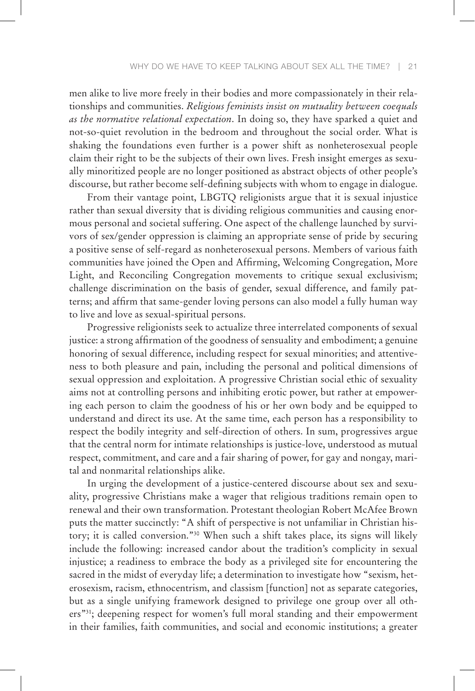men alike to live more freely in their bodies and more compassionately in their relationships and communities. *Religious feminists insist on mutuality between coequals as the normative relational expectation*. In doing so, they have sparked a quiet and not-so-quiet revolution in the bedroom and throughout the social order. What is shaking the foundations even further is a power shift as nonheterosexual people claim their right to be the subjects of their own lives. Fresh insight emerges as sexually minoritized people are no longer positioned as abstract objects of other people's discourse, but rather become self-defining subjects with whom to engage in dialogue.

From their vantage point, LBGTQ religionists argue that it is sexual injustice rather than sexual diversity that is dividing religious communities and causing enormous personal and societal suffering. One aspect of the challenge launched by survivors of sex/gender oppression is claiming an appropriate sense of pride by securing a positive sense of self-regard as nonheterosexual persons. Members of various faith communities have joined the Open and Affirming, Welcoming Congregation, More Light, and Reconciling Congregation movements to critique sexual exclusivism; challenge discrimination on the basis of gender, sexual difference, and family patterns; and affirm that same-gender loving persons can also model a fully human way to live and love as sexual-spiritual persons.

Progressive religionists seek to actualize three interrelated components of sexual justice: a strong affirmation of the goodness of sensuality and embodiment; a genuine honoring of sexual difference, including respect for sexual minorities; and attentiveness to both pleasure and pain, including the personal and political dimensions of sexual oppression and exploitation. A progressive Christian social ethic of sexuality aims not at controlling persons and inhibiting erotic power, but rather at empowering each person to claim the goodness of his or her own body and be equipped to understand and direct its use. At the same time, each person has a responsibility to respect the bodily integrity and self-direction of others. In sum, progressives argue that the central norm for intimate relationships is justice-love, understood as mutual respect, commitment, and care and a fair sharing of power, for gay and nongay, marital and nonmarital relationships alike.

In urging the development of a justice-centered discourse about sex and sexuality, progressive Christians make a wager that religious traditions remain open to renewal and their own transformation. Protestant theologian Robert McAfee Brown puts the matter succinctly: "A shift of perspective is not unfamiliar in Christian history; it is called conversion."30 When such a shift takes place, its signs will likely include the following: increased candor about the tradition's complicity in sexual injustice; a readiness to embrace the body as a privileged site for encountering the sacred in the midst of everyday life; a determination to investigate how "sexism, heterosexism, racism, ethnocentrism, and classism [function] not as separate categories, but as a single unifying framework designed to privilege one group over all others<sup>"31</sup>; deepening respect for women's full moral standing and their empowerment in their families, faith communities, and social and economic institutions; a greater